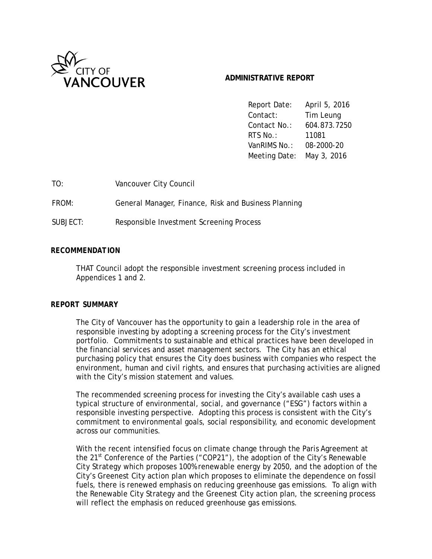

# **ADMINISTRATIVE REPORT**

Report Date: April 5, 2016 Contact: Tim Leung Contact No.: 604.873.7250 RTS No.: 11081 VanRIMS No.: 08-2000-20 Meeting Date: May 3, 2016

TO: Vancouver City Council

FROM: General Manager, Finance, Risk and Business Planning

SUBJECT: Responsible Investment Screening Process

## *RECOMMENDATION*

THAT Council adopt the responsible investment screening process included in Appendices 1 and 2.

## *REPORT SUMMARY*

The City of Vancouver has the opportunity to gain a leadership role in the area of responsible investing by adopting a screening process for the City's investment portfolio. Commitments to sustainable and ethical practices have been developed in the financial services and asset management sectors. The City has an ethical purchasing policy that ensures the City does business with companies who respect the environment, human and civil rights, and ensures that purchasing activities are aligned with the City's mission statement and values.

The recommended screening process for investing the City's available cash uses a typical structure of environmental, social, and governance ("ESG") factors within a responsible investing perspective. Adopting this process is consistent with the City's commitment to environmental goals, social responsibility, and economic development across our communities.

With the recent intensified focus on climate change through the Paris Agreement at the  $21^{st}$  Conference of the Parties ("COP21"), the adoption of the City's Renewable City Strategy which proposes 100% renewable energy by 2050, and the adoption of the City's Greenest City action plan which proposes to eliminate the dependence on fossil fuels, there is renewed emphasis on reducing greenhouse gas emissions. To align with the Renewable City Strategy and the Greenest City action plan, the screening process will reflect the emphasis on reduced greenhouse gas emissions.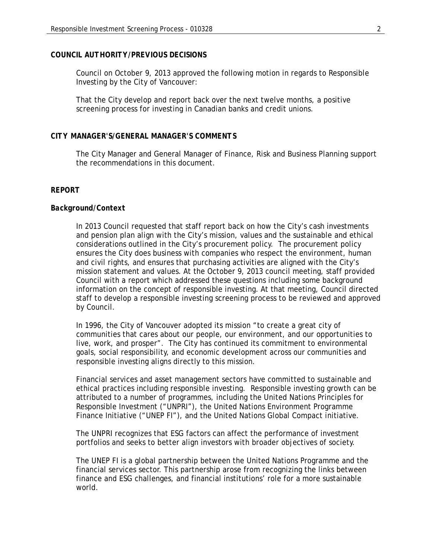#### *COUNCIL AUTHORITY/PREVIOUS DECISIONS*

Council on October 9, 2013 approved the following motion in regards to Responsible Investing by the City of Vancouver:

That the City develop and report back over the next twelve months, a positive screening process for investing in Canadian banks and credit unions.

## *CITY MANAGER'S/GENERAL MANAGER'S COMMENTS*

The City Manager and General Manager of Finance, Risk and Business Planning support the recommendations in this document.

#### *REPORT*

#### *Background/Context*

In 2013 Council requested that staff report back on how the City's cash investments and pension plan align with the City's mission, values and the sustainable and ethical considerations outlined in the City's procurement policy. The procurement policy ensures the City does business with companies who respect the environment, human and civil rights, and ensures that purchasing activities are aligned with the City's mission statement and values. At the October 9, 2013 council meeting, staff provided Council with a report which addressed these questions including some background information on the concept of responsible investing. At that meeting, Council directed staff to develop a responsible investing screening process to be reviewed and approved by Council.

In 1996, the City of Vancouver adopted its mission "to create a great city of communities that cares about our people, our environment, and our opportunities to live, work, and prosper". The City has continued its commitment to environmental goals, social responsibility, and economic development across our communities and responsible investing aligns directly to this mission.

Financial services and asset management sectors have committed to sustainable and ethical practices including responsible investing. Responsible investing growth can be attributed to a number of programmes, including the United Nations Principles for Responsible Investment ("UNPRI"), the United Nations Environment Programme Finance Initiative ("UNEP FI"), and the United Nations Global Compact initiative.

The UNPRI recognizes that ESG factors can affect the performance of investment portfolios and seeks to better align investors with broader objectives of society.

The UNEP FI is a global partnership between the United Nations Programme and the financial services sector. This partnership arose from recognizing the links between finance and ESG challenges, and financial institutions' role for a more sustainable world.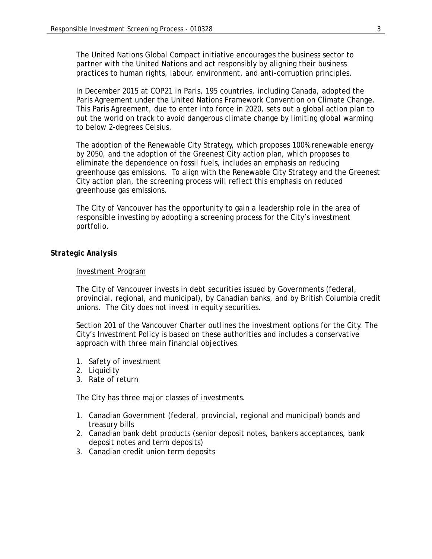The United Nations Global Compact initiative encourages the business sector to partner with the United Nations and act responsibly by aligning their business practices to human rights, labour, environment, and anti-corruption principles.

In December 2015 at COP21 in Paris, 195 countries, including Canada, adopted the Paris Agreement under the United Nations Framework Convention on Climate Change. This Paris Agreement, due to enter into force in 2020, sets out a global action plan to put the world on track to avoid dangerous climate change by limiting global warming to below 2-degrees Celsius.

The adoption of the Renewable City Strategy, which proposes 100% renewable energy by 2050, and the adoption of the Greenest City action plan, which proposes to eliminate the dependence on fossil fuels, includes an emphasis on reducing greenhouse gas emissions. To align with the Renewable City Strategy and the Greenest City action plan, the screening process will reflect this emphasis on reduced greenhouse gas emissions.

The City of Vancouver has the opportunity to gain a leadership role in the area of responsible investing by adopting a screening process for the City's investment portfolio.

## *Strategic Analysis*

## Investment Program

The City of Vancouver invests in debt securities issued by Governments (federal, provincial, regional, and municipal), by Canadian banks, and by British Columbia credit unions. The City does not invest in equity securities.

Section 201 of the Vancouver Charter outlines the investment options for the City. The City's Investment Policy is based on these authorities and includes a conservative approach with three main financial objectives.

- 1. Safety of investment
- 2. Liquidity
- 3. Rate of return

The City has three major classes of investments.

- 1. Canadian Government (federal, provincial, regional and municipal) bonds and treasury bills
- 2. Canadian bank debt products (senior deposit notes, bankers acceptances, bank deposit notes and term deposits)
- 3. Canadian credit union term deposits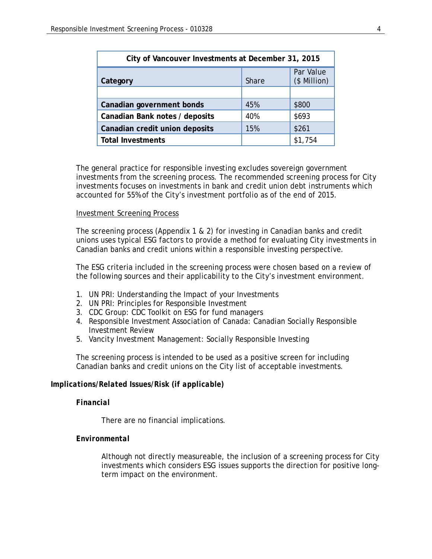| City of Vancouver Investments at December 31, 2015 |              |                           |  |  |
|----------------------------------------------------|--------------|---------------------------|--|--|
| Category                                           | <b>Share</b> | Par Value<br>(\$ Million) |  |  |
|                                                    |              |                           |  |  |
| Canadian government bonds                          | 45%          | \$800                     |  |  |
| Canadian Bank notes / deposits                     | 40%          | \$693                     |  |  |
| Canadian credit union deposits                     | 15%          | \$261                     |  |  |
| <b>Total Investments</b>                           |              | \$1,754                   |  |  |

The general practice for responsible investing excludes sovereign government investments from the screening process. The recommended screening process for City investments focuses on investments in bank and credit union debt instruments which accounted for 55% of the City's investment portfolio as of the end of 2015.

#### Investment Screening Process

The screening process (Appendix 1 & 2) for investing in Canadian banks and credit unions uses typical ESG factors to provide a method for evaluating City investments in Canadian banks and credit unions within a responsible investing perspective.

The ESG criteria included in the screening process were chosen based on a review of the following sources and their applicability to the City's investment environment.

- 1. UN PRI: Understanding the Impact of your Investments
- 2. UN PRI: Principles for Responsible Investment
- 3. CDC Group: CDC Toolkit on ESG for fund managers
- 4. Responsible Investment Association of Canada: Canadian Socially Responsible Investment Review
- 5. Vancity Investment Management: Socially Responsible Investing

The screening process is intended to be used as a positive screen for including Canadian banks and credit unions on the City list of acceptable investments.

## *Implications/Related Issues/Risk (if applicable)*

## *Financial*

There are no financial implications.

## *Environmental*

Although not directly measureable, the inclusion of a screening process for City investments which considers ESG issues supports the direction for positive longterm impact on the environment.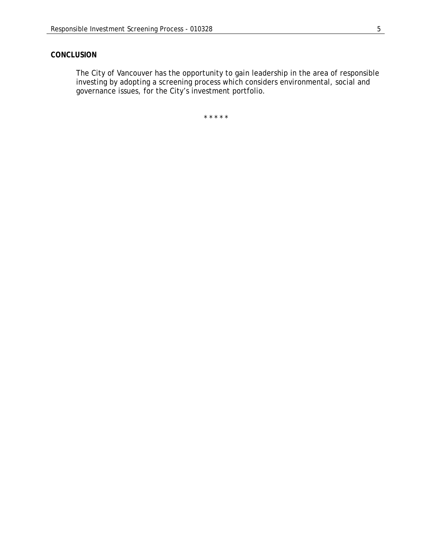# *CONCLUSION*

The City of Vancouver has the opportunity to gain leadership in the area of responsible investing by adopting a screening process which considers environmental, social and governance issues, for the City's investment portfolio.

\* \* \* \* \*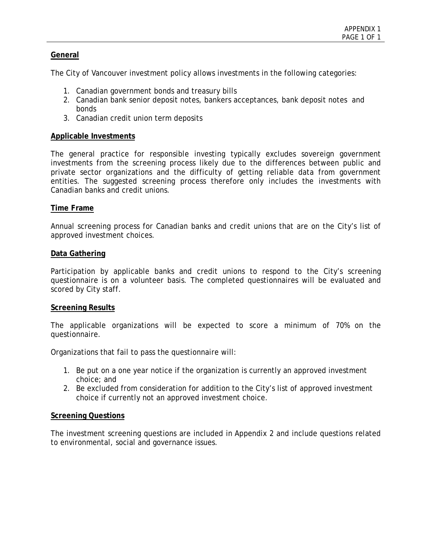# **General**

The City of Vancouver investment policy allows investments in the following categories:

- 1. Canadian government bonds and treasury bills
- 2. Canadian bank senior deposit notes, bankers acceptances, bank deposit notes and bonds
- 3. Canadian credit union term deposits

## **Applicable Investments**

The general practice for responsible investing typically excludes sovereign government investments from the screening process likely due to the differences between public and private sector organizations and the difficulty of getting reliable data from government entities. The suggested screening process therefore only includes the investments with Canadian banks and credit unions.

## **Time Frame**

Annual screening process for Canadian banks and credit unions that are on the City's list of approved investment choices.

## **Data Gathering**

Participation by applicable banks and credit unions to respond to the City's screening questionnaire is on a volunteer basis. The completed questionnaires will be evaluated and scored by City staff.

## **Screening Results**

The applicable organizations will be expected to score a minimum of 70% on the questionnaire.

Organizations that fail to pass the questionnaire will:

- 1. Be put on a one year notice if the organization is currently an approved investment choice; and
- 2. Be excluded from consideration for addition to the City's list of approved investment choice if currently not an approved investment choice.

## **Screening Questions**

The investment screening questions are included in Appendix 2 and include questions related to environmental, social and governance issues.